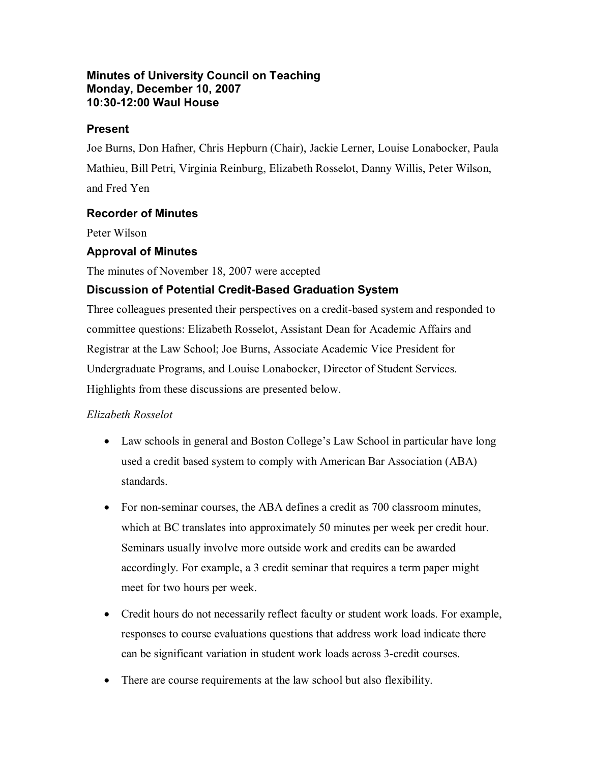### **Minutes of University Council on Teaching Monday, December 10, 2007 10:3012:00 Waul House**

#### **Present**

Joe Burns, Don Hafner, Chris Hepburn (Chair), Jackie Lerner, Louise Lonabocker, Paula Mathieu, Bill Petri, Virginia Reinburg, Elizabeth Rosselot, Danny Willis, Peter Wilson, and Fred Yen

# **Recorder of Minutes**

Peter Wilson

### **Approval of Minutes**

The minutes of November 18, 2007 were accepted

## **Discussion of Potential Credit-Based Graduation System**

Three colleagues presented their perspectives on a credit-based system and responded to committee questions: Elizabeth Rosselot, Assistant Dean for Academic Affairs and Registrar at the Law School; Joe Burns, Associate Academic Vice President for Undergraduate Programs, and Louise Lonabocker, Director of Student Services. Highlights from these discussions are presented below.

### *Elizabeth Rosselot*

- Law schools in general and Boston College's Law School in particular have long used a credit based system to comply with American Bar Association (ABA) standards.
- For non-seminar courses, the ABA defines a credit as 700 classroom minutes, which at BC translates into approximately 50 minutes per week per credit hour. Seminars usually involve more outside work and credits can be awarded accordingly. For example, a 3 credit seminar that requires a term paper might meet for two hours per week.
- Credit hours do not necessarily reflect faculty or student work loads. For example, responses to course evaluations questions that address work load indicate there can be significant variation in student work loads across 3-credit courses.
- There are course requirements at the law school but also flexibility.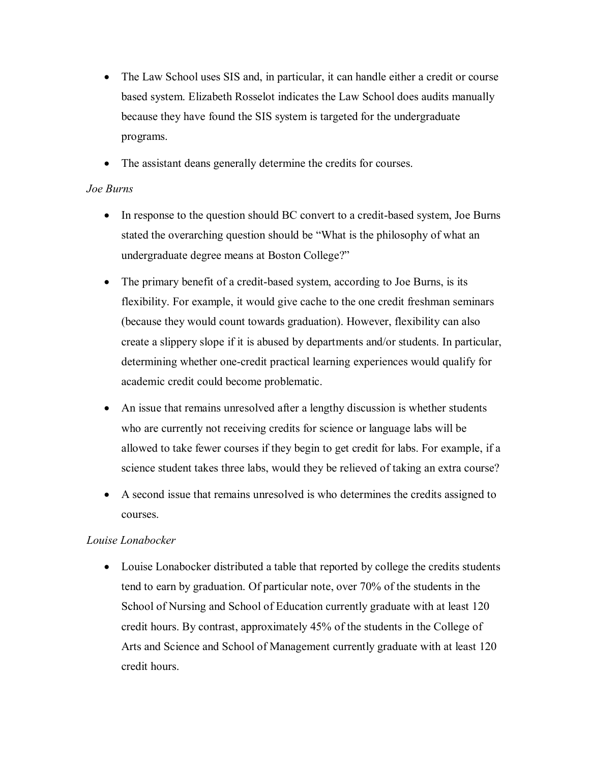- The Law School uses SIS and, in particular, it can handle either a credit or course based system. Elizabeth Rosselot indicates the Law School does audits manually because they have found the SIS system is targeted for the undergraduate programs.
- · The assistant deans generally determine the credits for courses.

### *Joe Burns*

- In response to the question should BC convert to a credit-based system, Joe Burns stated the overarching question should be "What is the philosophy of what an undergraduate degree means at Boston College?"
- The primary benefit of a credit-based system, according to Joe Burns, is its flexibility. For example, it would give cache to the one credit freshman seminars (because they would count towards graduation). However, flexibility can also create a slippery slope if it is abused by departments and/or students. In particular, determining whether one-credit practical learning experiences would qualify for academic credit could become problematic.
- An issue that remains unresolved after a lengthy discussion is whether students who are currently not receiving credits for science or language labs will be allowed to take fewer courses if they begin to get credit for labs. For example, if a science student takes three labs, would they be relieved of taking an extra course?
- · A second issue that remains unresolved is who determines the credits assigned to courses.

## *Louise Lonabocker*

• Louise Lonabocker distributed a table that reported by college the credits students tend to earn by graduation. Of particular note, over 70% of the students in the School of Nursing and School of Education currently graduate with at least 120 credit hours. By contrast, approximately 45% of the students in the College of Arts and Science and School of Management currently graduate with at least 120 credit hours.